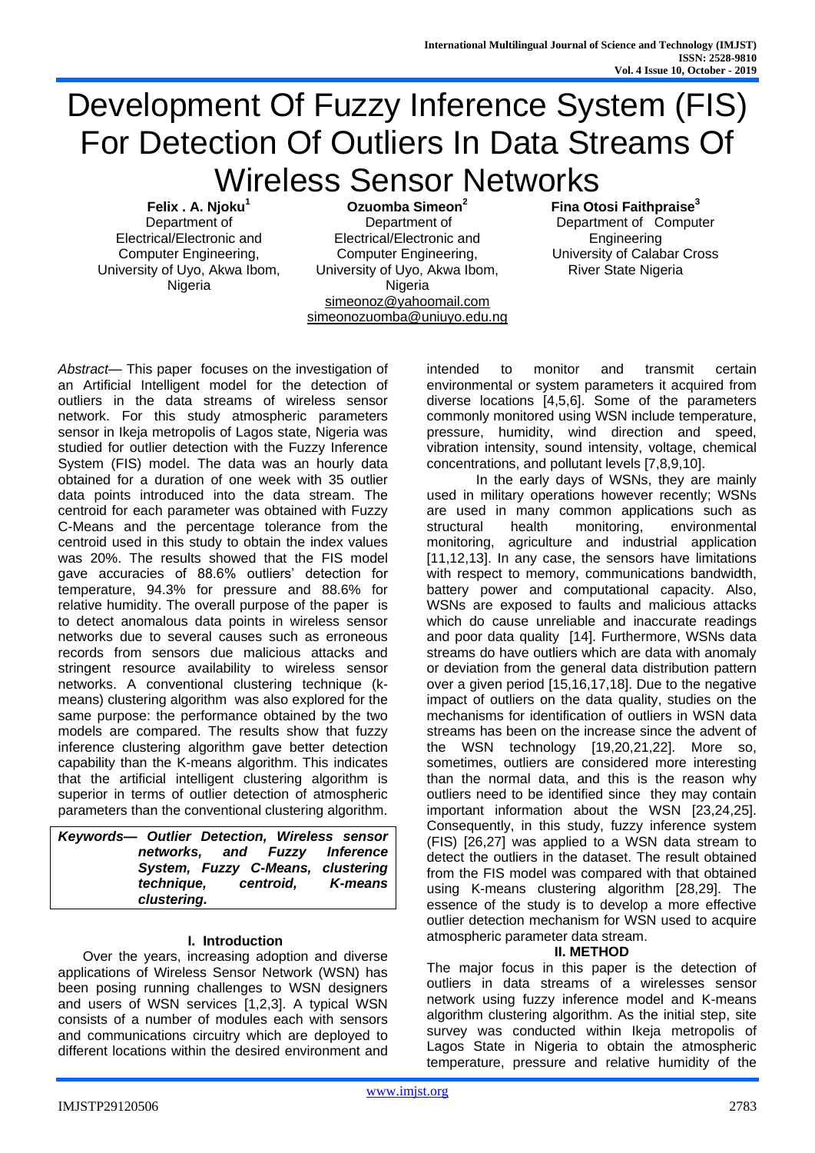# Development Of Fuzzy Inference System (FIS) For Detection Of Outliers In Data Streams Of Wireless Sensor Networks

**Felix . A. Njoku<sup>1</sup>** Department of Electrical/Electronic and Computer Engineering, University of Uyo, Akwa Ibom, Nigeria

**Ozuomba Simeon<sup>2</sup>** Department of Electrical/Electronic and Computer Engineering, University of Uyo, Akwa Ibom, Nigeria [simeonoz@yahoomail.com](mailto:simeonoz@yahoomail.com) [simeonozuomba@uniuyo.edu.ng](mailto:simeonozuomba@uniuyo.edu.ng) **Fina Otosi Faithpraise<sup>3</sup>** Department of Computer Engineering University of Calabar Cross River State Nigeria

*Abstract*— This paper focuses on the investigation of an Artificial Intelligent model for the detection of outliers in the data streams of wireless sensor network. For this study atmospheric parameters sensor in Ikeja metropolis of Lagos state, Nigeria was studied for outlier detection with the Fuzzy Inference System (FIS) model. The data was an hourly data obtained for a duration of one week with 35 outlier data points introduced into the data stream. The centroid for each parameter was obtained with Fuzzy C-Means and the percentage tolerance from the centroid used in this study to obtain the index values was 20%. The results showed that the FIS model gave accuracies of 88.6% outliers' detection for temperature, 94.3% for pressure and 88.6% for relative humidity. The overall purpose of the paper is to detect anomalous data points in wireless sensor networks due to several causes such as erroneous records from sensors due malicious attacks and stringent resource availability to wireless sensor networks. A conventional clustering technique (kmeans) clustering algorithm was also explored for the same purpose: the performance obtained by the two models are compared. The results show that fuzzy inference clustering algorithm gave better detection capability than the K-means algorithm. This indicates that the artificial intelligent clustering algorithm is superior in terms of outlier detection of atmospheric parameters than the conventional clustering algorithm.

| Keywords-- Outlier Detection, Wireless sensor |  |
|-----------------------------------------------|--|
| networks, and Fuzzy Inference                 |  |
| System, Fuzzy C-Means, clustering             |  |
| technique, centroid, K-means                  |  |
| clustering.                                   |  |

## **I. Introduction**

Over the years, increasing adoption and diverse applications of Wireless Sensor Network (WSN) has been posing running challenges to WSN designers and users of WSN services [1,2,3]. A typical WSN consists of a number of modules each with sensors and communications circuitry which are deployed to different locations within the desired environment and

intended to monitor and transmit certain environmental or system parameters it acquired from diverse locations [4,5,6]. Some of the parameters commonly monitored using WSN include temperature, pressure, humidity, wind direction and speed, vibration intensity, sound intensity, voltage, chemical concentrations, and pollutant levels [7,8,9,10].

In the early days of WSNs, they are mainly used in military operations however recently; WSNs are used in many common applications such as structural health monitoring, environmental monitoring, agriculture and industrial application [11,12,13]. In any case, the sensors have limitations with respect to memory, communications bandwidth, battery power and computational capacity. Also, WSNs are exposed to faults and malicious attacks which do cause unreliable and inaccurate readings and poor data quality [14]. Furthermore, WSNs data streams do have outliers which are data with anomaly or deviation from the general data distribution pattern over a given period [15,16,17,18]. Due to the negative impact of outliers on the data quality, studies on the mechanisms for identification of outliers in WSN data streams has been on the increase since the advent of the WSN technology [19,20,21,22]. More so, sometimes, outliers are considered more interesting than the normal data, and this is the reason why outliers need to be identified since they may contain important information about the WSN [23,24,25]. Consequently, in this study, fuzzy inference system (FIS) [26,27] was applied to a WSN data stream to detect the outliers in the dataset. The result obtained from the FIS model was compared with that obtained using K-means clustering algorithm [28,29]. The essence of the study is to develop a more effective outlier detection mechanism for WSN used to acquire atmospheric parameter data stream.

# **II. METHOD**

The major focus in this paper is the detection of outliers in data streams of a wirelesses sensor network using fuzzy inference model and K-means algorithm clustering algorithm. As the initial step, site survey was conducted within Ikeja metropolis of Lagos State in Nigeria to obtain the atmospheric temperature, pressure and relative humidity of the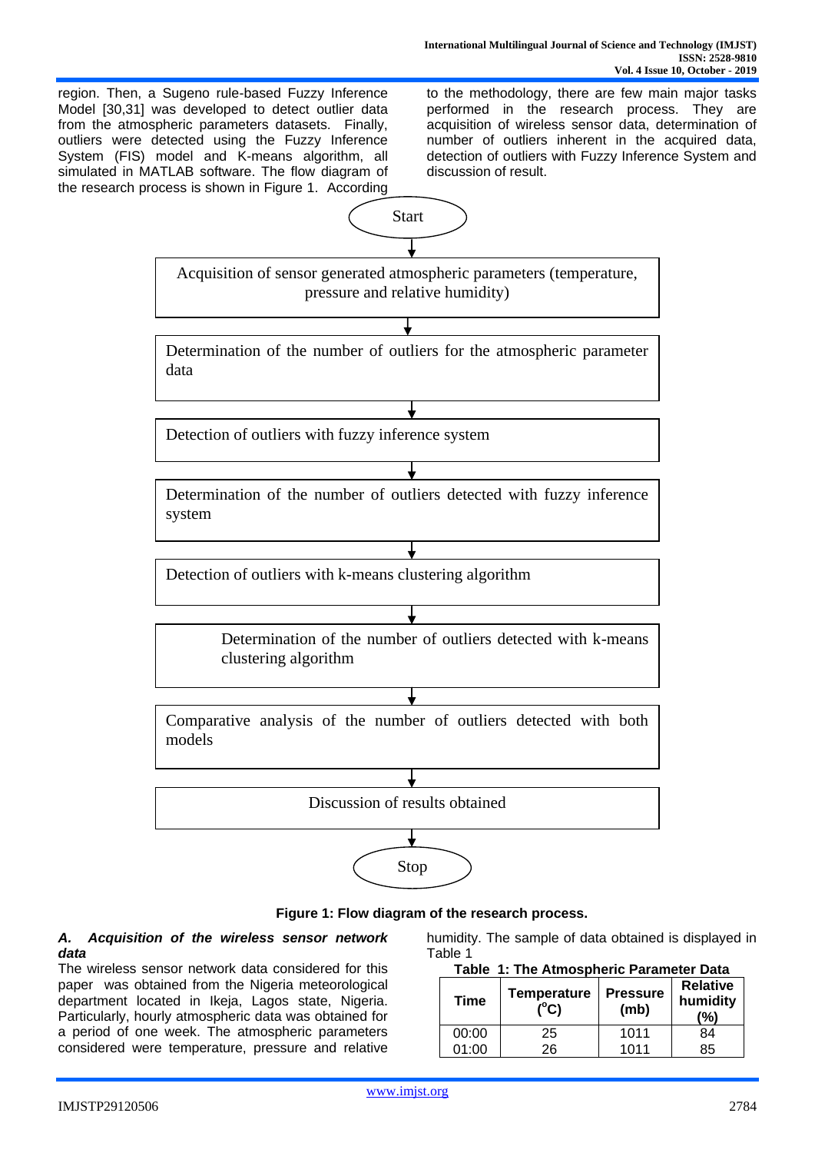region. Then, a Sugeno rule-based Fuzzy Inference Model [30,31] was developed to detect outlier data from the atmospheric parameters datasets. Finally, outliers were detected using the Fuzzy Inference System (FIS) model and K-means algorithm, all simulated in MATLAB software. The flow diagram of the research process is shown in Figure 1. According to the methodology, there are few main major tasks performed in the research process. They are acquisition of wireless sensor data, determination of number of outliers inherent in the acquired data, detection of outliers with Fuzzy Inference System and discussion of result.



**Figure 1: Flow diagram of the research process.**

# *A. Acquisition of the wireless sensor network data*

The wireless sensor network data considered for this paper was obtained from the Nigeria meteorological department located in Ikeja, Lagos state, Nigeria. Particularly, hourly atmospheric data was obtained for a period of one week. The atmospheric parameters considered were temperature, pressure and relative humidity. The sample of data obtained is displayed in Table 1

| Table 1: The Atmospheric Parameter Data |
|-----------------------------------------|
|                                         |

| <b>Time</b> | <b>Temperature</b><br>$(^{\circ}C)$ | <b>Pressure</b><br>(mb) | <b>Relative</b><br>humidity<br>(%) |
|-------------|-------------------------------------|-------------------------|------------------------------------|
| 00:00       | 25                                  | 1011                    | 84                                 |
| 01:00       | 26                                  | 1011                    | 85                                 |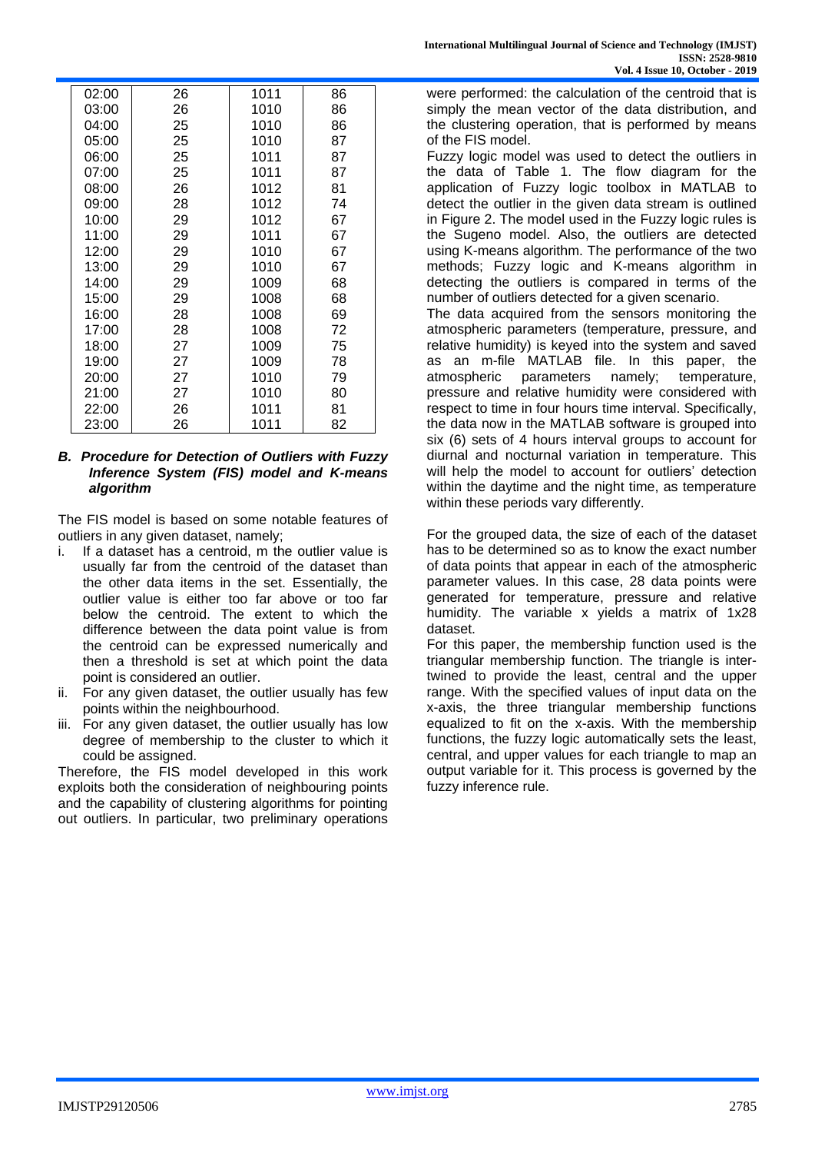| 02:00 | 26 | 1011 | 86 |  |
|-------|----|------|----|--|
| 03:00 | 26 | 1010 | 86 |  |
| 04:00 | 25 | 1010 | 86 |  |
| 05:00 | 25 | 1010 | 87 |  |
| 06:00 | 25 | 1011 | 87 |  |
| 07:00 | 25 | 1011 | 87 |  |
| 08:00 | 26 | 1012 | 81 |  |
| 09:00 | 28 | 1012 | 74 |  |
| 10:00 | 29 | 1012 | 67 |  |
| 11:00 | 29 | 1011 | 67 |  |
| 12:00 | 29 | 1010 | 67 |  |
| 13:00 | 29 | 1010 | 67 |  |
| 14:00 | 29 | 1009 | 68 |  |
| 15:00 | 29 | 1008 | 68 |  |
| 16:00 | 28 | 1008 | 69 |  |
| 17:00 | 28 | 1008 | 72 |  |
| 18:00 | 27 | 1009 | 75 |  |
| 19:00 | 27 | 1009 | 78 |  |
| 20:00 | 27 | 1010 | 79 |  |
| 21:00 | 27 | 1010 | 80 |  |
| 22:00 | 26 | 1011 | 81 |  |
| 23:00 | 26 | 1011 | 82 |  |

# *B. Procedure for Detection of Outliers with Fuzzy Inference System (FIS) model and K-means algorithm*

The FIS model is based on some notable features of outliers in any given dataset, namely;

- i. If a dataset has a centroid, m the outlier value is usually far from the centroid of the dataset than the other data items in the set. Essentially, the outlier value is either too far above or too far below the centroid. The extent to which the difference between the data point value is from the centroid can be expressed numerically and then a threshold is set at which point the data point is considered an outlier.
- ii. For any given dataset, the outlier usually has few points within the neighbourhood.
- iii. For any given dataset, the outlier usually has low degree of membership to the cluster to which it could be assigned.

Therefore, the FIS model developed in this work exploits both the consideration of neighbouring points and the capability of clustering algorithms for pointing out outliers. In particular, two preliminary operations were performed: the calculation of the centroid that is simply the mean vector of the data distribution, and the clustering operation, that is performed by means of the FIS model.

Fuzzy logic model was used to detect the outliers in the data of Table 1. The flow diagram for the application of Fuzzy logic toolbox in MATLAB to detect the outlier in the given data stream is outlined in Figure 2. The model used in the Fuzzy logic rules is the Sugeno model. Also, the outliers are detected using K-means algorithm. The performance of the two methods; Fuzzy logic and K-means algorithm in detecting the outliers is compared in terms of the number of outliers detected for a given scenario.

The data acquired from the sensors monitoring the atmospheric parameters (temperature, pressure, and relative humidity) is keyed into the system and saved as an m-file MATLAB file. In this paper, the atmospheric parameters namely; temperature, pressure and relative humidity were considered with respect to time in four hours time interval. Specifically, the data now in the MATLAB software is grouped into six (6) sets of 4 hours interval groups to account for diurnal and nocturnal variation in temperature. This will help the model to account for outliers' detection within the daytime and the night time, as temperature within these periods vary differently.

For the grouped data, the size of each of the dataset has to be determined so as to know the exact number of data points that appear in each of the atmospheric parameter values. In this case, 28 data points were generated for temperature, pressure and relative humidity. The variable x yields a matrix of 1x28 dataset.

For this paper, the membership function used is the triangular membership function. The triangle is intertwined to provide the least, central and the upper range. With the specified values of input data on the x-axis, the three triangular membership functions equalized to fit on the x-axis. With the membership functions, the fuzzy logic automatically sets the least, central, and upper values for each triangle to map an output variable for it. This process is governed by the fuzzy inference rule.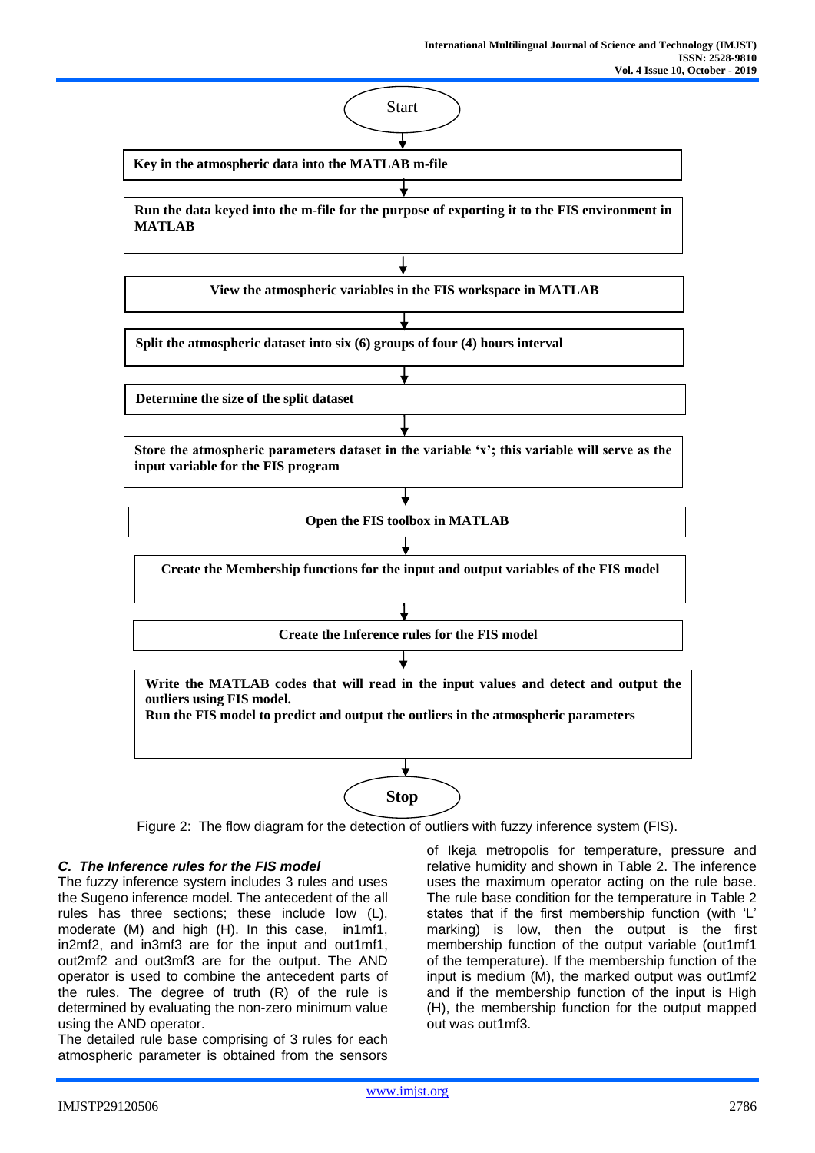

Figure 2: The flow diagram for the detection of outliers with fuzzy inference system (FIS).

# *C. The Inference rules for the FIS model*

The fuzzy inference system includes 3 rules and uses the Sugeno inference model. The antecedent of the all rules has three sections; these include low (L), moderate (M) and high (H). In this case, in1mf1, in2mf2, and in3mf3 are for the input and out1mf1, out2mf2 and out3mf3 are for the output. The AND operator is used to combine the antecedent parts of the rules. The degree of truth (R) of the rule is determined by evaluating the non-zero minimum value using the AND operator.

The detailed rule base comprising of 3 rules for each atmospheric parameter is obtained from the sensors

of Ikeja metropolis for temperature, pressure and relative humidity and shown in Table 2. The inference uses the maximum operator acting on the rule base. The rule base condition for the temperature in Table 2 states that if the first membership function (with 'L' marking) is low, then the output is the first membership function of the output variable (out1mf1 of the temperature). If the membership function of the input is medium (M), the marked output was out1mf2 and if the membership function of the input is High (H), the membership function for the output mapped out was out1mf3.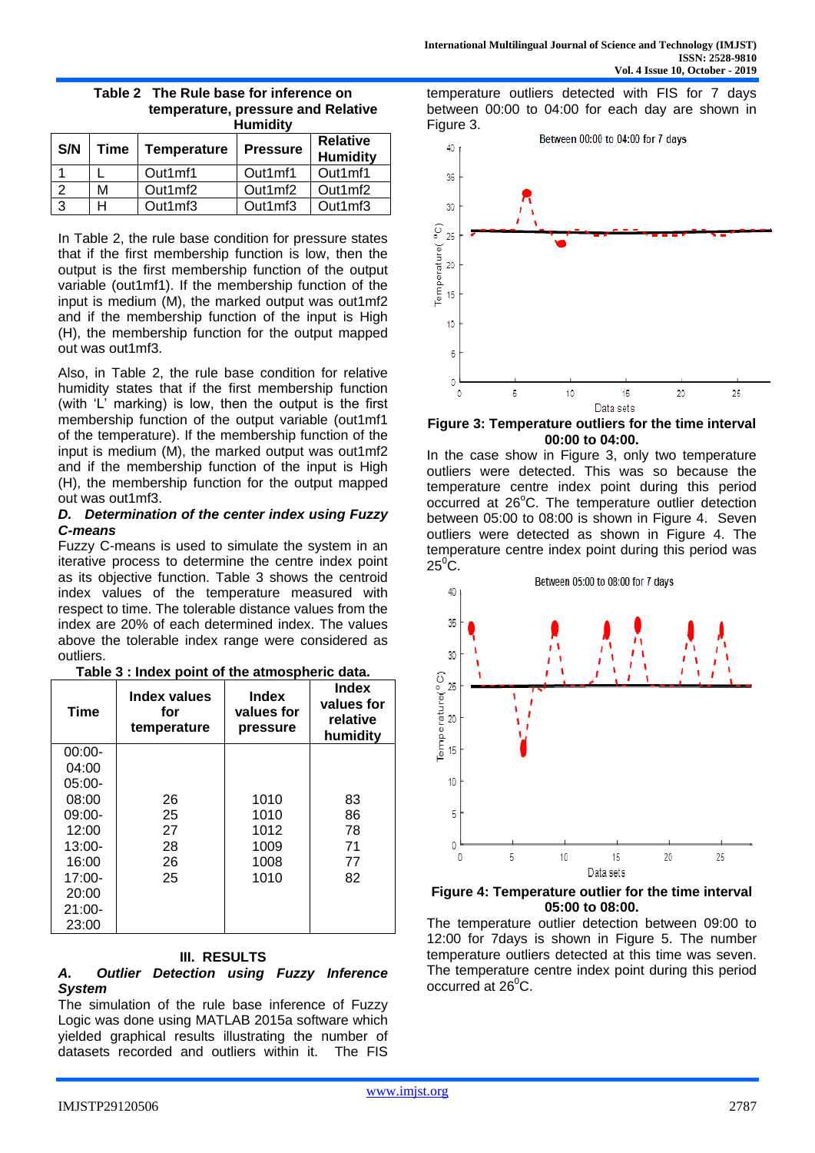temperature outliers detected with FIS for 7 days between 00:00 to 04:00 for each day are shown in

Figure 3.

| ,,,,,,,,,,,, |      |                    |                 |                                    |
|--------------|------|--------------------|-----------------|------------------------------------|
| S/N          | Time | <b>Temperature</b> | <b>Pressure</b> | <b>Relative</b><br><b>Humidity</b> |
|              |      | Out1mf1            | Out1mf1         | Out1mf1                            |
|              | М    | Out1mf2            | Out1mf2         | Out1mf2                            |
| -3           | н    | Out1mf3            | Out1mf3         | Out1mf3                            |

**Table 2 The Rule base for inference on temperature, pressure and Relative Humidity**

In Table 2, the rule base condition for pressure states that if the first membership function is low, then the output is the first membership function of the output variable (out1mf1). If the membership function of the input is medium (M), the marked output was out1mf2 and if the membership function of the input is High (H), the membership function for the output mapped out was out1mf3.

Also, in Table 2, the rule base condition for relative humidity states that if the first membership function (with 'L' marking) is low, then the output is the first membership function of the output variable (out1mf1 of the temperature). If the membership function of the input is medium (M), the marked output was out1mf2 and if the membership function of the input is High (H), the membership function for the output mapped out was out1mf3.

# *D. Determination of the center index using Fuzzy C-means*

Fuzzy C-means is used to simulate the system in an iterative process to determine the centre index point as its objective function. Table 3 shows the centroid index values of the temperature measured with respect to time. The tolerable distance values from the index are 20% of each determined index. The values above the tolerable index range were considered as outliers.

| <b>Time</b> | Index values<br>for<br>temperature | Index<br>values for<br>pressure | <b>Index</b><br>values for<br>relative<br>humidity |
|-------------|------------------------------------|---------------------------------|----------------------------------------------------|
| $00:00-$    |                                    |                                 |                                                    |
| 04:00       |                                    |                                 |                                                    |
| $05:00-$    |                                    |                                 |                                                    |
| 08:00       | 26                                 | 1010                            | 83                                                 |
| $09:00-$    | 25                                 | 1010                            | 86                                                 |
| 12:00       | 27                                 | 1012                            | 78                                                 |
| $13:00-$    | 28                                 | 1009                            | 71                                                 |
| 16:00       | 26                                 | 1008                            | 77                                                 |
| $17:00-$    | 25                                 | 1010                            | 82                                                 |
| 20:00       |                                    |                                 |                                                    |
| $21:00-$    |                                    |                                 |                                                    |
| 23:00       |                                    |                                 |                                                    |

# **Table 3 : Index point of the atmospheric data.**

#### **III. RESULTS**

## *A. Outlier Detection using Fuzzy Inference System*

The simulation of the rule base inference of Fuzzy Logic was done using MATLAB 2015a software which yielded graphical results illustrating the number of datasets recorded and outliers within it. The FIS

Between 00:00 to 04:00 for 7 days 40 35 30 Ģ 25 **Temperature** 20 15 10 5 0  $\circ$ 5 10 15 20 25 Data sets

**Figure 3: Temperature outliers for the time interval 00:00 to 04:00.**

In the case show in Figure 3, only two temperature outliers were detected. This was so because the temperature centre index point during this period occurred at 26°C. The temperature outlier detection between 05:00 to 08:00 is shown in Figure 4. Seven outliers were detected as shown in Figure 4. The temperature centre index point during this period was  $25^{\circ}$ C.



## **Figure 4: Temperature outlier for the time interval 05:00 to 08:00.**

The temperature outlier detection between 09:00 to 12:00 for 7days is shown in Figure 5. The number temperature outliers detected at this time was seven. The temperature centre index point during this period occurred at  $26^{\circ}$ C.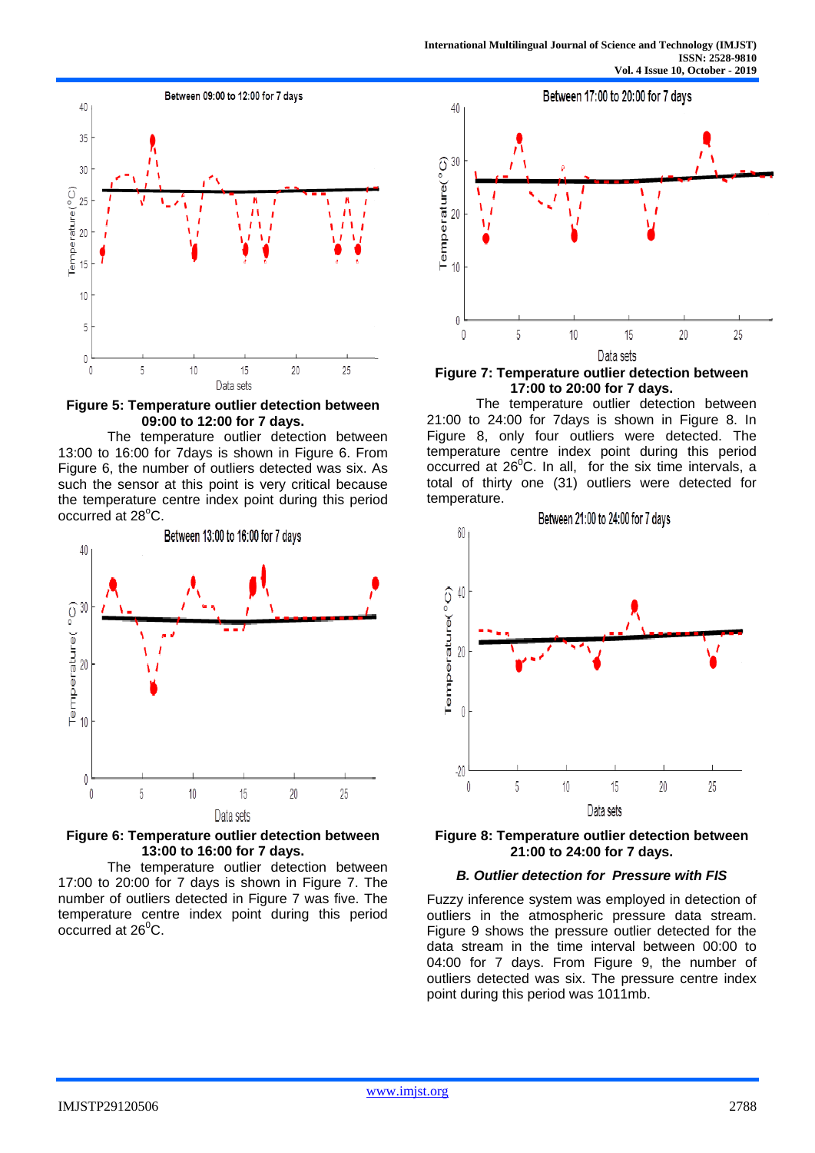

**Figure 5: Temperature outlier detection between 09:00 to 12:00 for 7 days.**

The temperature outlier detection between 13:00 to 16:00 for 7days is shown in Figure 6. From Figure 6, the number of outliers detected was six. As such the sensor at this point is very critical because the temperature centre index point during this period occurred at 28°C.



**Figure 6: Temperature outlier detection between 13:00 to 16:00 for 7 days.**

The temperature outlier detection between 17:00 to 20:00 for 7 days is shown in Figure 7. The number of outliers detected in Figure 7 was five. The temperature centre index point during this period occurred at  $26^{\circ}$ C.



**Figure 7: Temperature outlier detection between 17:00 to 20:00 for 7 days.**

The temperature outlier detection between 21:00 to 24:00 for 7days is shown in Figure 8. In Figure 8, only four outliers were detected. The temperature centre index point during this period occurred at  $26^{\circ}$ C. In all, for the six time intervals, a total of thirty one (31) outliers were detected for temperature.



**Figure 8: Temperature outlier detection between 21:00 to 24:00 for 7 days.**

## *B. Outlier detection for Pressure with FIS*

Fuzzy inference system was employed in detection of outliers in the atmospheric pressure data stream. Figure 9 shows the pressure outlier detected for the data stream in the time interval between 00:00 to 04:00 for 7 days. From Figure 9, the number of outliers detected was six. The pressure centre index point during this period was 1011mb.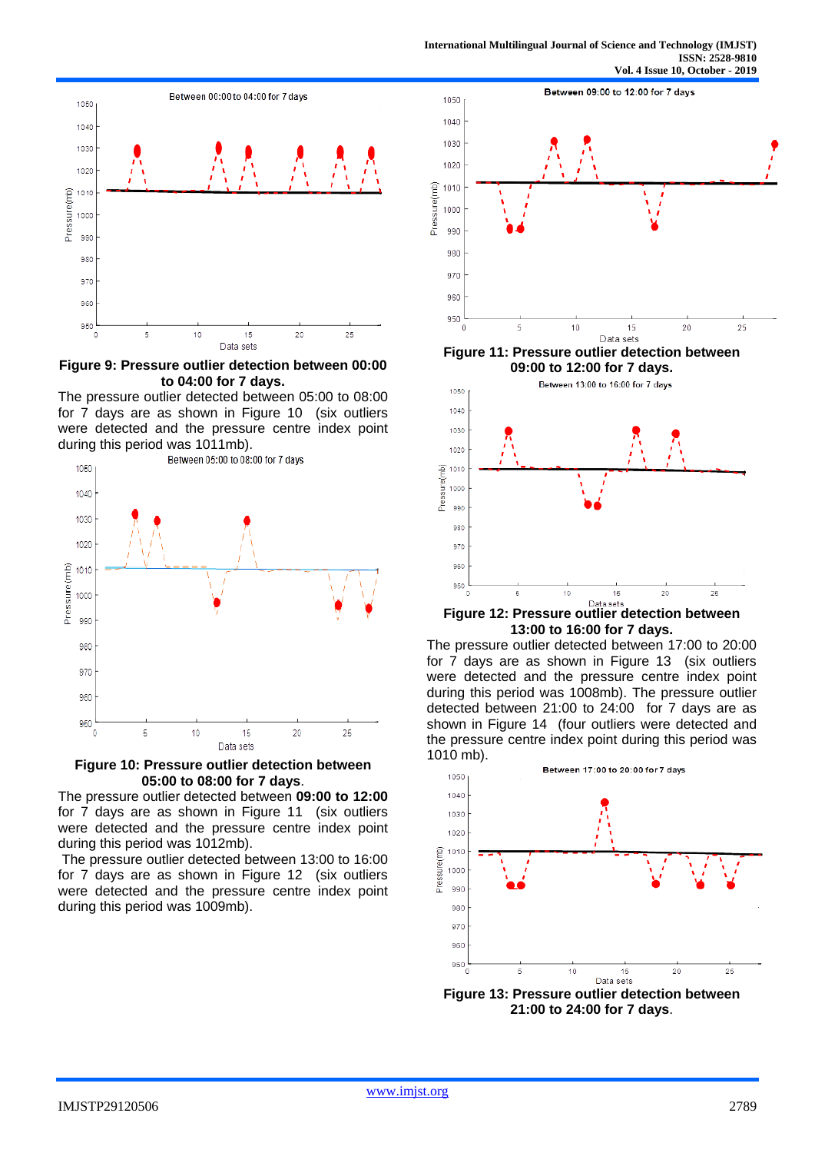

**Figure 9: Pressure outlier detection between 00:00 to 04:00 for 7 days.**

The pressure outlier detected between 05:00 to 08:00 for 7 days are as shown in Figure 10 (six outliers were detected and the pressure centre index point during this period was 1011mb).



**Figure 10: Pressure outlier detection between 05:00 to 08:00 for 7 days**.

The pressure outlier detected between **09:00 to 12:00**  for 7 days are as shown in Figure 11 (six outliers were detected and the pressure centre index point during this period was 1012mb).

The pressure outlier detected between 13:00 to 16:00 for 7 days are as shown in Figure 12 (six outliers were detected and the pressure centre index point during this period was 1009mb).





**Figure 12: Pressure outlier detection between 13:00 to 16:00 for 7 days.**

The pressure outlier detected between 17:00 to 20:00 for 7 days are as shown in Figure 13 (six outliers were detected and the pressure centre index point during this period was 1008mb). The pressure outlier detected between 21:00 to 24:00 for 7 days are as shown in Figure 14 (four outliers were detected and the pressure centre index point during this period was 1010 mb).



**Figure 13: Pressure outlier detection between 21:00 to 24:00 for 7 days**.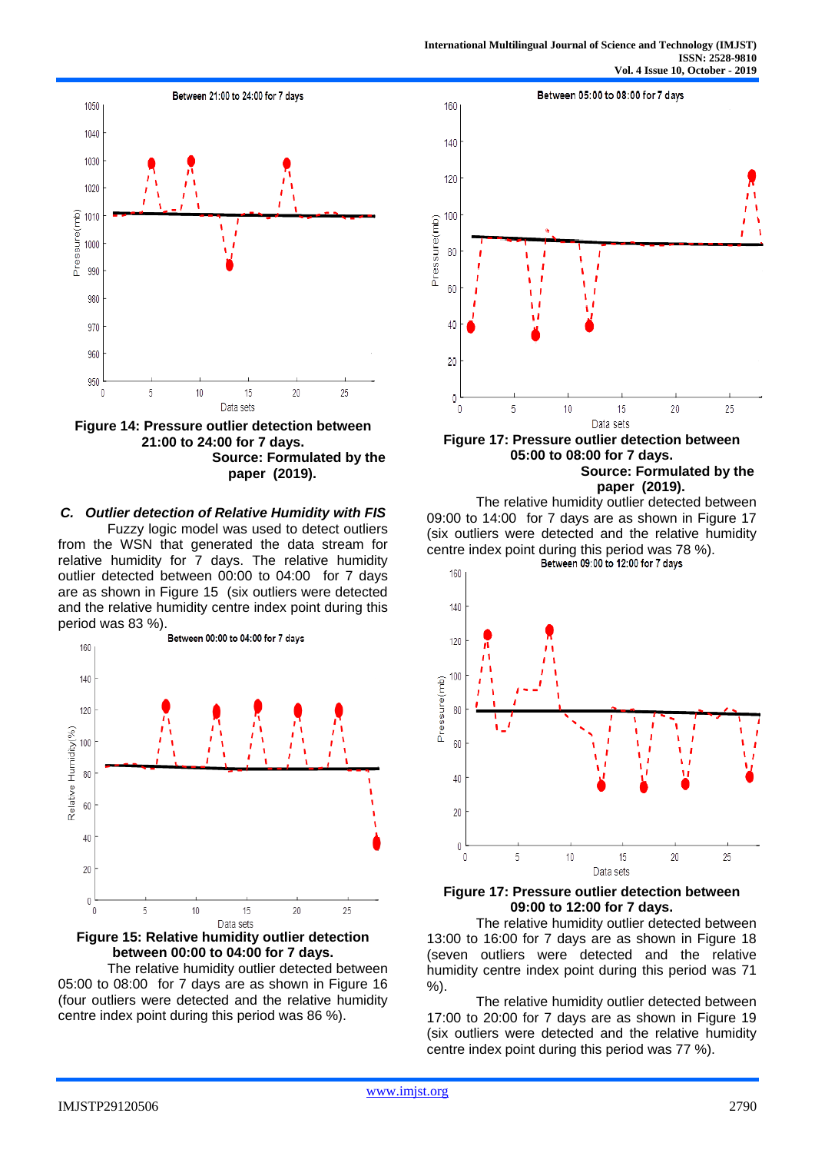

**Figure 14: Pressure outlier detection between 21:00 to 24:00 for 7 days. Source: Formulated by the paper (2019).**

## *C. Outlier detection of Relative Humidity with FIS*

Fuzzy logic model was used to detect outliers from the WSN that generated the data stream for relative humidity for 7 days. The relative humidity outlier detected between 00:00 to 04:00 for 7 days are as shown in Figure 15 (six outliers were detected and the relative humidity centre index point during this



**Figure 15: Relative humidity outlier detection between 00:00 to 04:00 for 7 days.**

The relative humidity outlier detected between 05:00 to 08:00 for 7 days are as shown in Figure 16 (four outliers were detected and the relative humidity centre index point during this period was 86 %).



**Figure 17: Pressure outlier detection between 05:00 to 08:00 for 7 days. Source: Formulated by the paper (2019).**

The relative humidity outlier detected between 09:00 to 14:00 for 7 days are as shown in Figure 17 (six outliers were detected and the relative humidity centre index point during this period was 78 %).<br>Between 09:00 to 12:00 for 7 days



## **Figure 17: Pressure outlier detection between 09:00 to 12:00 for 7 days.**

The relative humidity outlier detected between 13:00 to 16:00 for 7 days are as shown in Figure 18 (seven outliers were detected and the relative humidity centre index point during this period was 71 %).

The relative humidity outlier detected between 17:00 to 20:00 for 7 days are as shown in Figure 19 (six outliers were detected and the relative humidity centre index point during this period was 77 %).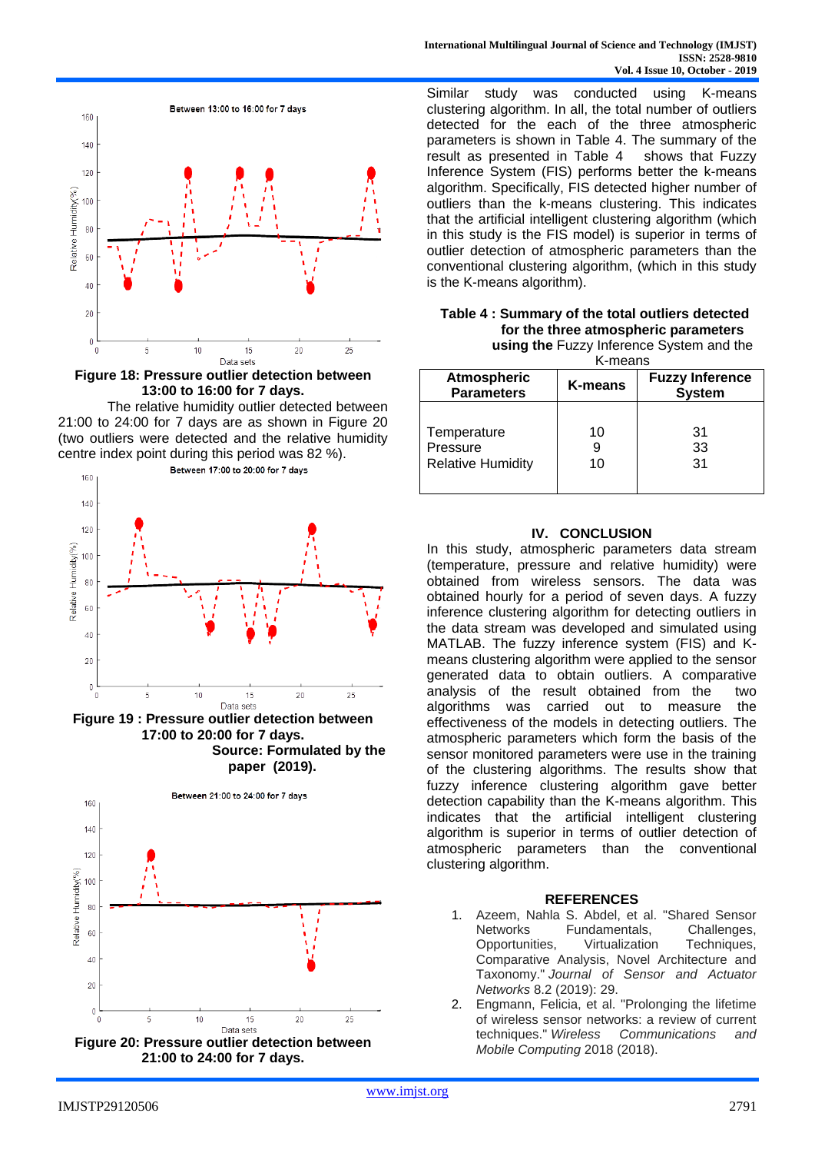

**Figure 18: Pressure outlier detection between 13:00 to 16:00 for 7 days.**

The relative humidity outlier detected between 21:00 to 24:00 for 7 days are as shown in Figure 20 (two outliers were detected and the relative humidity centre index point during this period was 82 %). Between 17:00 to 20:00 for 7 days



**Figure 19 : Pressure outlier detection between 17:00 to 20:00 for 7 days. Source: Formulated by the paper (2019).**



Similar study was conducted using K-means clustering algorithm. In all, the total number of outliers detected for the each of the three atmospheric parameters is shown in Table 4. The summary of the result as presented in Table 4 shows that Fuzzy Inference System (FIS) performs better the k-means algorithm. Specifically, FIS detected higher number of outliers than the k-means clustering. This indicates that the artificial intelligent clustering algorithm (which in this study is the FIS model) is superior in terms of outlier detection of atmospheric parameters than the conventional clustering algorithm, (which in this study is the K-means algorithm).

| Table 4: Summary of the total outliers detected |
|-------------------------------------------------|
| for the three atmospheric parameters            |
| <b>using the Fuzzy Inference System and the</b> |

stem and the K-means

| טווועטווו                                           |               |                                         |  |
|-----------------------------------------------------|---------------|-----------------------------------------|--|
| <b>Atmospheric</b><br><b>Parameters</b>             | K-means       | <b>Fuzzy Inference</b><br><b>System</b> |  |
| Temperature<br>Pressure<br><b>Relative Humidity</b> | 10<br>9<br>10 | 31<br>33<br>31                          |  |

# **IV. CONCLUSION**

In this study, atmospheric parameters data stream (temperature, pressure and relative humidity) were obtained from wireless sensors. The data was obtained hourly for a period of seven days. A fuzzy inference clustering algorithm for detecting outliers in the data stream was developed and simulated using MATLAB. The fuzzy inference system (FIS) and Kmeans clustering algorithm were applied to the sensor generated data to obtain outliers. A comparative analysis of the result obtained from the two algorithms was carried out to measure the effectiveness of the models in detecting outliers. The atmospheric parameters which form the basis of the sensor monitored parameters were use in the training of the clustering algorithms. The results show that fuzzy inference clustering algorithm gave better detection capability than the K-means algorithm. This indicates that the artificial intelligent clustering algorithm is superior in terms of outlier detection of atmospheric parameters than the conventional clustering algorithm.

#### **REFERENCES**

- 1. Azeem, Nahla S. Abdel, et al. "Shared Sensor Networks Fundamentals, Challenges, Opportunities, Virtualization Techniques, Comparative Analysis, Novel Architecture and Taxonomy." *Journal of Sensor and Actuator Networks* 8.2 (2019): 29.
- 2. Engmann, Felicia, et al. "Prolonging the lifetime of wireless sensor networks: a review of current techniques." *Wireless Communications and Mobile Computing* 2018 (2018).